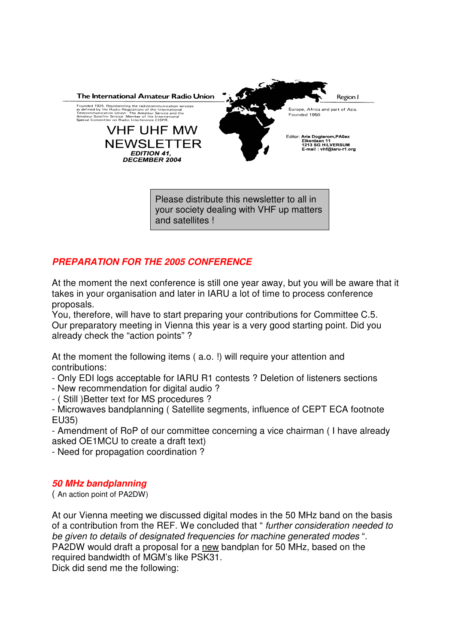

your society dealing with VHF up matters and satellites !

# *PREPARATION FOR THE 2005 CONFERENCE*

At the moment the next conference is still one year away, but you will be aware that it takes in your organisation and later in IARU a lot of time to process conference proposals.

You, therefore, will have to start preparing your contributions for Committee C.5. Our preparatory meeting in Vienna this year is a very good starting point. Did you already check the "action points" ?

At the moment the following items ( a.o. !) will require your attention and contributions:

- Only EDI logs acceptable for IARU R1 contests ? Deletion of listeners sections

- New recommendation for digital audio ?
- ( Still )Better text for MS procedures ?

- Microwaves bandplanning ( Satellite segments, influence of CEPT ECA footnote EU35)

- Amendment of RoP of our committee concerning a vice chairman ( I have already asked OE1MCU to create a draft text)

- Need for propagation coordination ?

## *50 MHz bandplanning*

( An action point of PA2DW)

At our Vienna meeting we discussed digital modes in the 50 MHz band on the basis of a contribution from the REF. We concluded that " *further consideration needed to be given to details of designated frequencies for machine generated modes* ". PA2DW would draft a proposal for a new bandplan for 50 MHz, based on the required bandwidth of MGM's like PSK31. Dick did send me the following: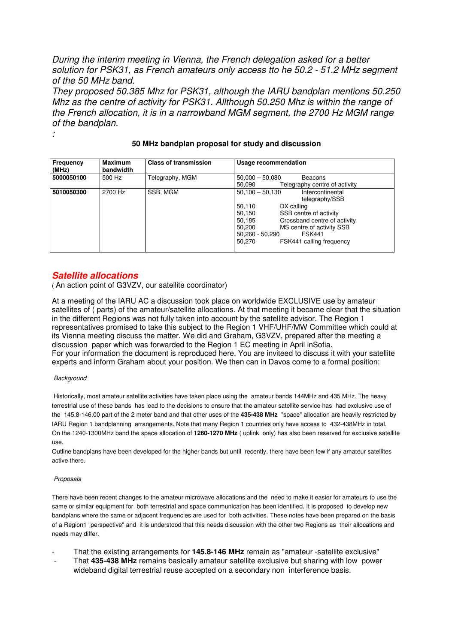*During the interim meeting in Vienna, the French delegation asked for a better solution for PSK31, as French amateurs only access tto he 50.2 - 51.2 MHz segment of the 50 MHz band.*

*They proposed 50.385 Mhz for PSK31, although the IARU bandplan mentions 50.250 Mhz as the centre of activity for PSK31. Allthough 50.250 Mhz is within the range of the French allocation, it is in a narrowband MGM segment, the 2700 Hz MGM range of the bandplan.*

| Frequency<br>(MHz) | <b>Maximum</b><br>bandwidth | <b>Class of transmission</b> | Usage recommendation                                                                                                                                                                                                                                                             |
|--------------------|-----------------------------|------------------------------|----------------------------------------------------------------------------------------------------------------------------------------------------------------------------------------------------------------------------------------------------------------------------------|
| 5000050100         | 500 Hz                      | Telegraphy, MGM              | $50,000 - 50,080$<br>Beacons<br>Telegraphy centre of activity<br>50,090                                                                                                                                                                                                          |
| 5010050300         | 2700 Hz                     | SSB, MGM                     | $50,100 - 50,130$<br>Intercontinental<br>telegraphy/SSB<br>50,110<br>DX calling<br>SSB centre of activity<br>50.150<br>Crossband centre of activity<br>50.185<br>MS centre of activity SSB<br>50,200<br><b>FSK441</b><br>$50,260 - 50,290$<br>50.270<br>FSK441 calling frequency |

### **50 MHz bandplan proposal for study and discussion**

## *Satellite allocations*

( An action point of G3VZV, our satellite coordinator)

At a meeting of the IARU AC a discussion took place on worldwide EXCLUSIVE use by amateur satellites of ( parts) of the amateur/satellite allocations. At that meeting it became clear that the situation in the different Regions was not fully taken into account by the satellite advisor. The Region 1 representatives promised to take this subject to the Region 1 VHF/UHF/MW Committee which could at its Vienna meeting discuss the matter. We did and Graham, G3VZV, prepared after the meeting a discussion paper which was forwarded to the Region 1 EC meeting in April inSofia. For your information the document is reproduced here. You are inviteed to discuss it with your satellite experts and inform Graham about your position. We then can in Davos come to a formal position:

#### *Background*

*:*

Historically, most amateur satellite activities have taken place using the amateur bands 144MHz and 435 MHz. The heavy terrestrial use of these bands has lead to the decisions to ensure that the amateur satellite service has had exclusive use of the 145.8-146.00 part of the 2 meter band and that other uses of the **435-438 MHz** "space" allocation are heavily restricted by IARU Region 1 bandplanning arrangements. Note that many Region 1 countries only have access to 432-438MHz in total. On the 1240-1300MHz band the space allocation of **1260-1270 MHz** ( uplink only) has also been reserved for exclusive satellite use.

Outline bandplans have been developed for the higher bands but until recently, there have been few if any amateur satellites active there.

#### *Proposals*

There have been recent changes to the amateur microwave allocations and the need to make it easier for amateurs to use the same or similar equipment for both terrestrial and space communication has been identified. It is proposed to develop new bandplans where the same or adjacent frequencies are used for both activities. These notes have been prepared on the basis of a Region1 "perspective" and it is understood that this needs discussion with the other two Regions as their allocations and needs may differ.

- That the existing arrangements for **145.8-146 MHz** remain as "amateur -satellite exclusive"
- That **435-438 MHz** remains basically amateur satellite exclusive but sharing with low power wideband digital terrestrial reuse accepted on a secondary non interference basis.